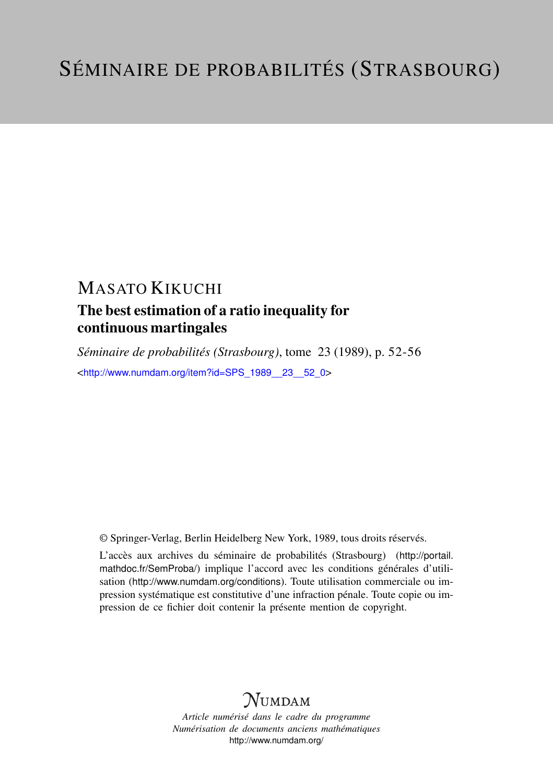## MASATO KIKUCHI

## The best estimation of a ratio inequality for continuous martingales

*Séminaire de probabilités (Strasbourg)*, tome 23 (1989), p. 52-56 <[http://www.numdam.org/item?id=SPS\\_1989\\_\\_23\\_\\_52\\_0](http://www.numdam.org/item?id=SPS_1989__23__52_0)>

© Springer-Verlag, Berlin Heidelberg New York, 1989, tous droits réservés.

L'accès aux archives du séminaire de probabilités (Strasbourg) ([http://portail.](http://portail.mathdoc.fr/SemProba/) [mathdoc.fr/SemProba/](http://portail.mathdoc.fr/SemProba/)) implique l'accord avec les conditions générales d'utilisation (<http://www.numdam.org/conditions>). Toute utilisation commerciale ou impression systématique est constitutive d'une infraction pénale. Toute copie ou impression de ce fichier doit contenir la présente mention de copyright.

# **NUMDAM**

*Article numérisé dans le cadre du programme Numérisation de documents anciens mathématiques* <http://www.numdam.org/>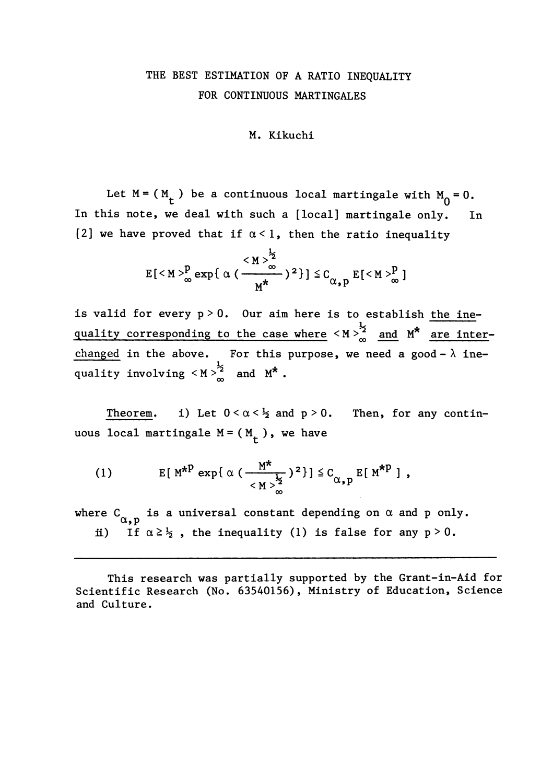### THE BEST ESTIMATION OF A RATIO INEQUALITY FOR CONTINUOUS MARTINGALES

#### M. Kikuchi

Let  $M = (M_t)$  be a continuous local martingale with  $M_0 = 0$ .<br>his note, we deal with such a [local] martingale only. In In this note, we deal with such a [local] martingale only. [2] we have proved that if  $\alpha < 1$ , then the ratio inequality

$$
E\left[^p_{\infty} \exp\left\{\alpha \left(\frac{^{\frac{1}{2}}}{M^*}\right)^2\right\}\right] \leq C_{\alpha, p} E\left[^p_{\infty}\right]
$$

is valid for every  $p > 0$ . Our aim here is to establish the inequality corresponding to the case where  $\langle M \rangle_{\infty}^{\frac{1}{2}}$  and  $M^*$  are interchanged in the above. For this purpose, we need a good- $\lambda$  inequality involving  $\langle M \rangle_{\infty}^{\frac{1}{2}}$  and  $M^*$ .

Theorem. i) Let  $0 < \alpha < \frac{1}{2}$  and  $p > 0$ . Then, for any continuous local martingale  $M = (M_t)$ , we have

(1) 
$$
E[M^{*P} \exp{\{\alpha \left(\frac{M^{*}}{\sum_{i=1}^{N} 2}\right)^{2}\}}] \leq C_{\alpha, p} E[M^{*P}],
$$

where  $C_{\alpha, p}$  is a universal constant depending on  $\alpha$  and p only. ii) If  $\alpha \geq \frac{1}{2}$ , the inequality (1) is false for any p > 0.

This research was partially supported by the Grant-in-Aid for Scientific Research (No. 63540156), Ministry of Education, Science and Culture.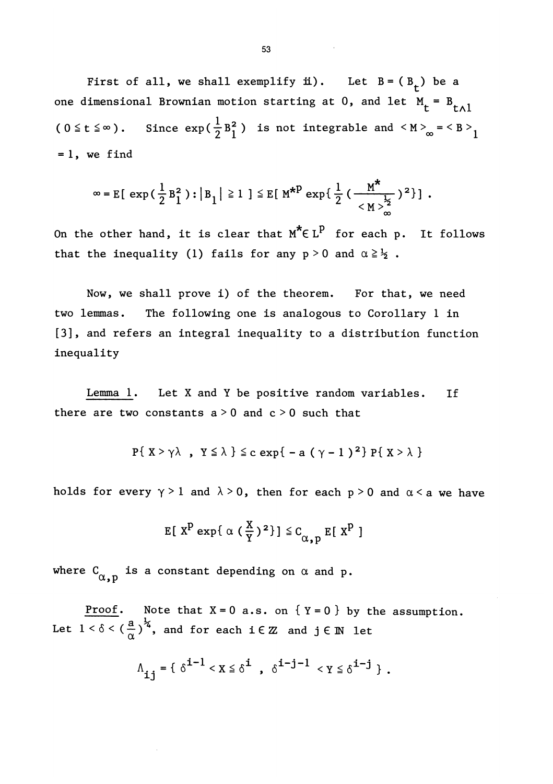First of all, we shall exemplify i). Let  $B = (B_t)$  be a one dimensional Brownian motion starting at 0, and let  $M_t = B_{t \wedge l}$  $(0 \le t \le \infty)$ . Since  $\exp(\frac{1}{2}B_1^2)$  is not integrable and  $\langle M \rangle_{\infty} = \langle B \rangle_1$  $=1$ , we find

$$
\infty = E\left[ \exp\left( \frac{1}{2} B_1^2 \right) : \left| B_1 \right| \geq 1 \right] \leq E\left[ M^{*P} \exp\left\{ \frac{1}{2} \left( \frac{M^*}{M \sum_{m=1}^{k_2} 2^2} \right) \right] \, .
$$

On the other hand, it is clear that  $M^* \in L^P$  for each p. It follows that the inequality (1) fails for any  $p > 0$  and  $\alpha \geq \frac{1}{2}$ .

Now, we shall prove i) of the theorem. For that, we need two lemmas. The following one is analogous to Corollary 1 in [3], and refers an integral inequality to a distribution function inequality

Lemma 1. Let X and Y be positive random variables. If there are two constants  $a > 0$  and  $c > 0$  such that

$$
P\{ X > \gamma \lambda , Y \leq \lambda \} \leq c \exp\{-a (\gamma - 1)^2\} P\{ X > \lambda \}
$$

holds for every  $\gamma > 1$  and  $\lambda > 0$ , then for each p > 0 and  $\alpha < a$  we have

$$
\mathbb{E}[\ X^P \ \exp\{\ \alpha\ (\ \frac{X}{Y}\ )^2\} \ ] \ \leq \mathsf{C}_{\alpha,p} \ \mathbb{E}[\ X^P \ ]
$$

where  $C_{\alpha, p}$  is a constant depending on  $\alpha$  and p.

Proof. Note that  $X = 0$  a.s. on  $\{Y = 0\}$  by the assumption. Let  $1 < \delta < \left(\frac{a}{\alpha}\right)^{\frac{1}{2}}$ , and for each  $i \in \mathbb{Z}$  and  $j \in \mathbb{N}$  let

$$
\Lambda_{\mathbf{i}\,\mathbf{j}} = \{ \delta^{\mathbf{i}-1} < x \leq \delta^{\mathbf{i}} \ , \ \delta^{\mathbf{i}-\mathbf{j}-1} < y \leq \delta^{\mathbf{i}-\mathbf{j}} \ \} \ .
$$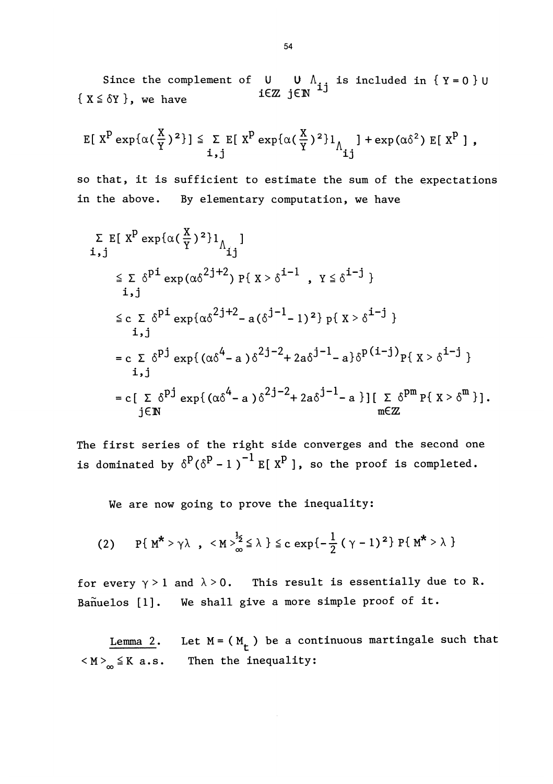Since the complement of  $\mathsf U\subset \mathsf U\,\,\wedge_{\,\,\mathbf i\,\,\mathbf i}$  is included in  $\{\,\,\mathtt Y=0\,\,\}\,\cup\,\,$ { $X \leq \delta Y$ }, we have  $i \in \mathbb{Z}$  j $\in \mathbb{N}$   $i^{1j}$ 

$$
\mathbb{E}[\ X^P \exp\{\alpha(\frac{X}{Y})^2\}] \leq \sum_{i,j} \mathbb{E}[\ X^P \exp\{\alpha(\frac{X}{Y})^2\}1_{\Lambda_{ij}}] + \exp(\alpha\delta^2) \mathbb{E}[\ X^P],
$$

so that, it is sufficient to estimate the sum of the expectations in the above. By elementary computation, we have

$$
\Sigma \ E[ X^{P} \exp{\{\alpha(\frac{X}{Y})^{2}\}}]_{\Lambda_{ij}}
$$
\n
$$
\leq \Sigma \ \delta^{p_{i}} \exp{\{\alpha\delta^{2j+2}\}} \ P\{ X > \delta^{i-1}, Y \leq \delta^{i-j} \}
$$
\n
$$
\leq \Sigma \ \delta^{p_{i}} \exp{\{\alpha\delta^{2j+2} - a(\delta^{j-1} - 1)^{2}\}} \ P\{ X > \delta^{i-j} \}
$$
\n
$$
\leq \Sigma \ \delta^{p_{j}} \exp{\{\alpha\delta^{4} - a\}} \ \delta^{2j-2} + 2a\delta^{j-1} - a\} \ \delta^{p(i-j)} \ P\{ X > \delta^{i-j} \}
$$
\n
$$
\leq \Sigma \ \delta^{p_{j}} \exp{\{\alpha\delta^{4} - a\}} \ \delta^{2j-2} + 2a\delta^{j-1} - a\} \ [ \ \Sigma \ \delta^{p_{m}} \ P\{ X > \delta^{m} \} ].
$$
\n
$$
\leq \Sigma \ \delta^{p_{j}} \exp{\{\alpha\delta^{4} - a\}} \ \delta^{2j-2} + 2a\delta^{j-1} - a\} \ [ \ \Sigma \ \delta^{p_{m}} \ P\{ X > \delta^{m} \} ].
$$

The first series of the right side converges and the second one is dominated by  $\delta^{P}(\delta^{P}-1)^{-1}$  E[X<sup>P</sup>], so the proof is completed.

We are now going to prove the inequality:

(2) 
$$
P{M^* > \gamma \lambda}
$$
,  $\langle M \rangle_{\infty}^{\frac{1}{2}} \le \lambda$   $\le$   $c \exp{-\frac{1}{2} (\gamma - 1)^2}$   $P{M^* > \lambda}$ 

for every  $\gamma > 1$  and  $\lambda > 0$ . This result is essentially due to R. Bañuelos [1]. We shall give a more simple proof of it.

Lemma 2. Let  $M = (M_t)$  be a continuous martingale such that  $\langle M \rangle_{\infty} \leq K$  a.s. Then the inequality: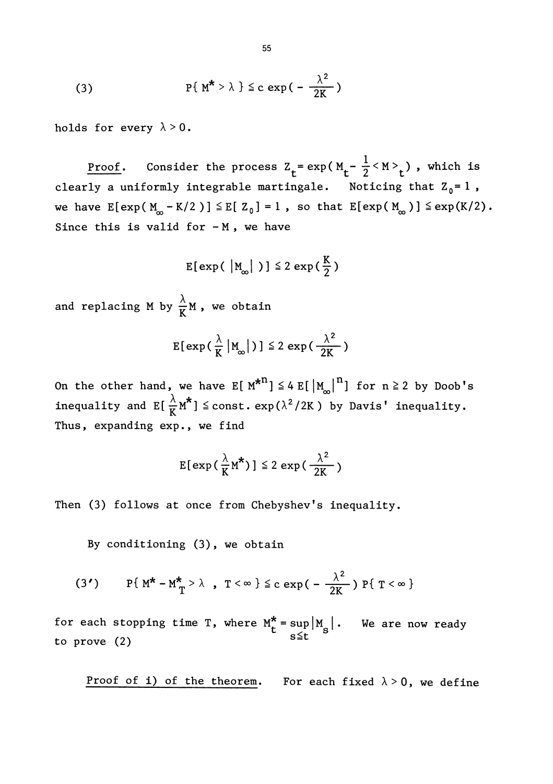(3) 
$$
P{ M^{\star} > \lambda } \leq c \exp{(-\frac{\lambda^2}{2K})}
$$

holds for every  $\lambda > 0$ .

<u>Proof</u>. Consider the process  $Z_t = \exp(M_t - \frac{1}{2} < M>_{t})$ , which is clearly a uniformly integrable martingale. Noticing that  $Z_0 = 1$ , we have  $E[exp(M_{\odot} - K/2)] \leq E[ Z_{0} ] = 1$ , so that  $E[exp(M_{\odot} ) ] \leq exp(K/2)$ . Since this is valid for  $-M$ , we have

$$
E[\exp(\ |M_{\infty}| \ )] \leq 2 \exp(\frac{K}{2})
$$

and replacing M by  $\frac{\lambda}{K} M$ , we obtain

$$
E[\exp\left(\frac{\lambda}{K} \left| M_{\infty} \right| \right)] \leq 2 \exp\left(\frac{\lambda^2}{2K} \right)
$$

On the other hand, we have  $E[ M^{*n}] \leq 4 E[ |M_{\infty}|^{n}]$  for  $n \geq 2$  by Doob's inequality and  $E\left[\frac{\lambda}{K}M^* \right] \leq \text{const.} \exp(\lambda^2/2K)$  by Davis' inequality. Thus, expanding exp., we find

$$
E[\exp\left(\frac{\lambda}{K}M^{\star}\right)] \leq 2 \exp\left(\frac{\lambda^2}{2K}\right)
$$

Then (3) follows at once from Chebyshev's inequality.

By conditioning (3), we obtain

(3') 
$$
P{M^* - M^* \choose T} > \lambda
$$
,  $T < \infty$   $\leq c \exp(-\frac{\lambda^2}{2K}) P{T < \infty}$ 

for each stopping time T, where  $M_t^* = \sup_{s \le t} |M_s|$ . We are now ready to prove (2)

Proof of i) of the theorem. For each fixed  $\lambda > 0$ , we define